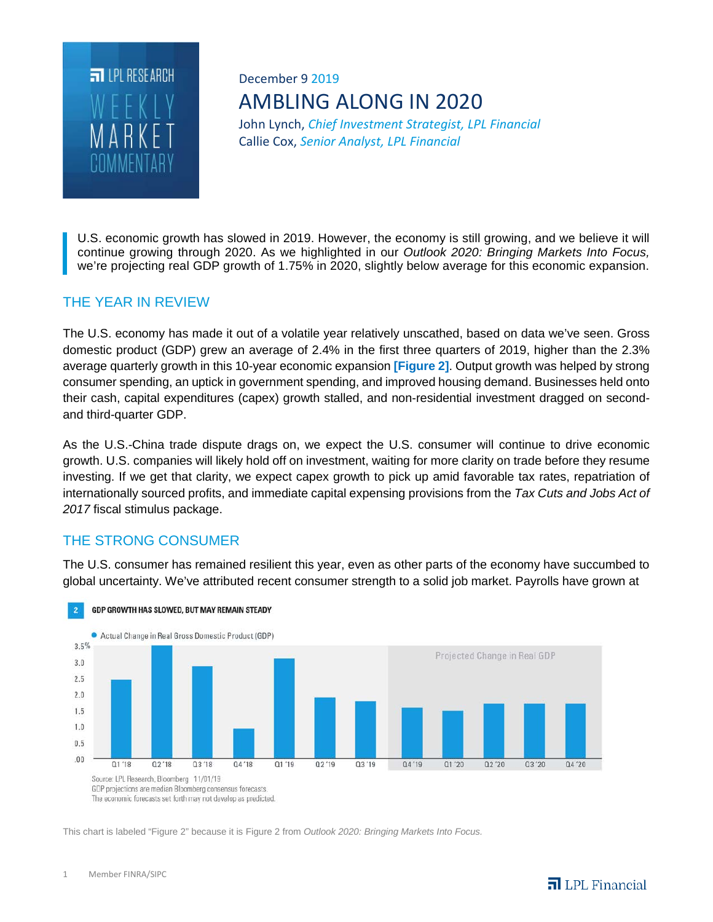

# December 9 2019 AMBLING ALONG IN 2020

John Lynch, *Chief Investment Strategist, LPL Financial* Callie Cox, *Senior Analyst, LPL Financial*

U.S. economic growth has slowed in 2019. However, the economy is still growing, and we believe it will continue growing through 2020. As we highlighted in our *Outlook 2020: Bringing Markets Into Focus,*  we're projecting real GDP growth of 1.75% in 2020, slightly below average for this economic expansion.

# THE YEAR IN REVIEW

The U.S. economy has made it out of a volatile year relatively unscathed, based on data we've seen. Gross domestic product (GDP) grew an average of 2.4% in the first three quarters of 2019, higher than the 2.3% average quarterly growth in this 10-year economic expansion **[Figure 2]**. Output growth was helped by strong consumer spending, an uptick in government spending, and improved housing demand. Businesses held onto their cash, capital expenditures (capex) growth stalled, and non-residential investment dragged on secondand third-quarter GDP.

As the U.S.-China trade dispute drags on, we expect the U.S. consumer will continue to drive economic growth. U.S. companies will likely hold off on investment, waiting for more clarity on trade before they resume investing. If we get that clarity, we expect capex growth to pick up amid favorable tax rates, repatriation of internationally sourced profits, and immediate capital expensing provisions from the *Tax Cuts and Jobs Act of 2017* fiscal stimulus package.

# THE STRONG CONSUMER

The U.S. consumer has remained resilient this year, even as other parts of the economy have succumbed to global uncertainty. We've attributed recent consumer strength to a solid job market. Payrolls have grown at



#### GDP GROWTH HAS SLOWED, BUT MAY REMAIN STEADY

This chart is labeled "Figure 2" because it is Figure 2 from *Outlook 2020: Bringing Markets Into Focus.*

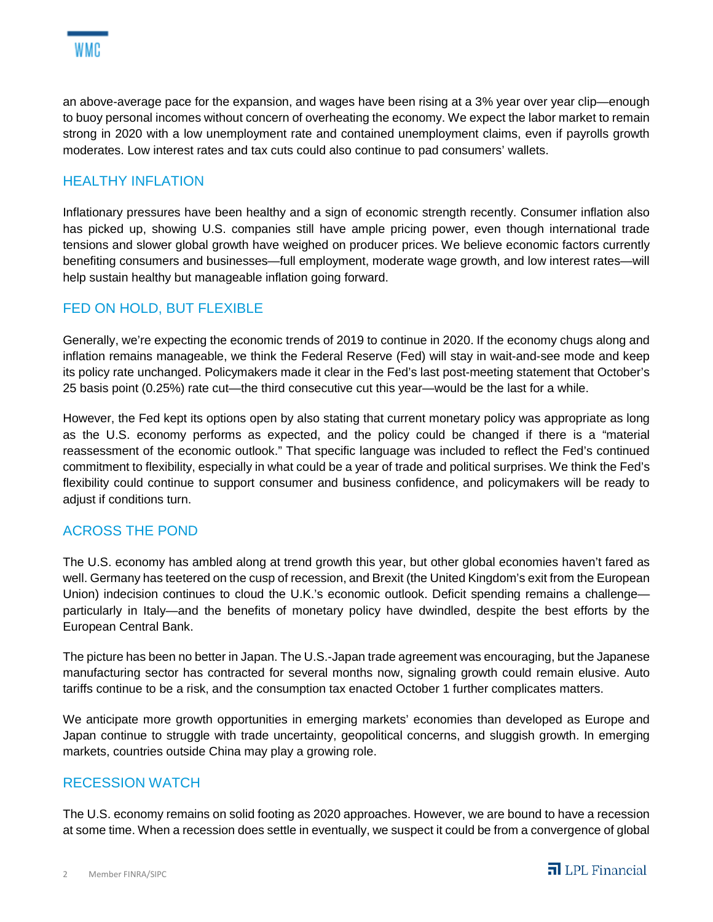

an above-average pace for the expansion, and wages have been rising at a 3% year over year clip—enough to buoy personal incomes without concern of overheating the economy. We expect the labor market to remain strong in 2020 with a low unemployment rate and contained unemployment claims, even if payrolls growth moderates. Low interest rates and tax cuts could also continue to pad consumers' wallets.

## HEALTHY INFLATION

Inflationary pressures have been healthy and a sign of economic strength recently. Consumer inflation also has picked up, showing U.S. companies still have ample pricing power, even though international trade tensions and slower global growth have weighed on producer prices. We believe economic factors currently benefiting consumers and businesses—full employment, moderate wage growth, and low interest rates—will help sustain healthy but manageable inflation going forward.

### FED ON HOLD, BUT FLEXIBLE

Generally, we're expecting the economic trends of 2019 to continue in 2020. If the economy chugs along and inflation remains manageable, we think the Federal Reserve (Fed) will stay in wait-and-see mode and keep its policy rate unchanged. Policymakers made it clear in the Fed's last post-meeting statement that October's 25 basis point (0.25%) rate cut—the third consecutive cut this year—would be the last for a while.

However, the Fed kept its options open by also stating that current monetary policy was appropriate as long as the U.S. economy performs as expected, and the policy could be changed if there is a "material reassessment of the economic outlook." That specific language was included to reflect the Fed's continued commitment to flexibility, especially in what could be a year of trade and political surprises. We think the Fed's flexibility could continue to support consumer and business confidence, and policymakers will be ready to adjust if conditions turn.

### ACROSS THE POND

The U.S. economy has ambled along at trend growth this year, but other global economies haven't fared as well. Germany has teetered on the cusp of recession, and Brexit (the United Kingdom's exit from the European Union) indecision continues to cloud the U.K.'s economic outlook. Deficit spending remains a challenge particularly in Italy—and the benefits of monetary policy have dwindled, despite the best efforts by the European Central Bank.

The picture has been no better in Japan. The U.S.-Japan trade agreement was encouraging, but the Japanese manufacturing sector has contracted for several months now, signaling growth could remain elusive. Auto tariffs continue to be a risk, and the consumption tax enacted October 1 further complicates matters.

We anticipate more growth opportunities in emerging markets' economies than developed as Europe and Japan continue to struggle with trade uncertainty, geopolitical concerns, and sluggish growth. In emerging markets, countries outside China may play a growing role.

#### RECESSION WATCH

The U.S. economy remains on solid footing as 2020 approaches. However, we are bound to have a recession at some time. When a recession does settle in eventually, we suspect it could be from a convergence of global

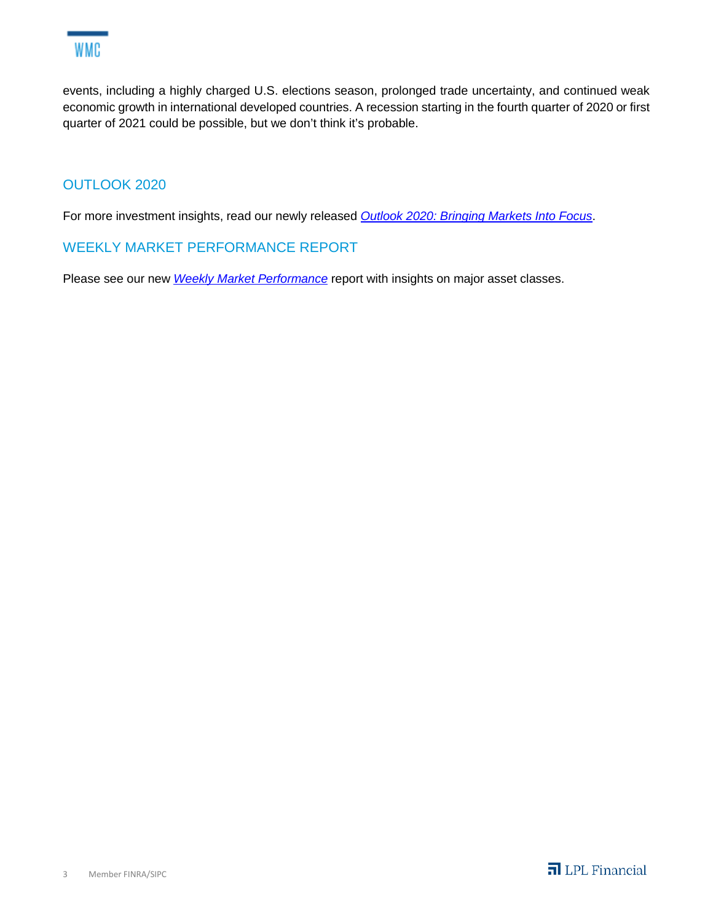

events, including a highly charged U.S. elections season, prolonged trade uncertainty, and continued weak economic growth in international developed countries. A recession starting in the fourth quarter of 2020 or first quarter of 2021 could be possible, but we don't think it's probable.

# OUTLOOK 2020

For more investment insights, read our newly released *Outlook 2020: Bringing Markets Into Focus*.

#### WEEKLY MARKET PERFORMANCE REPORT

Please see our new *Weekly Market Performance* report with insights on major asset classes.